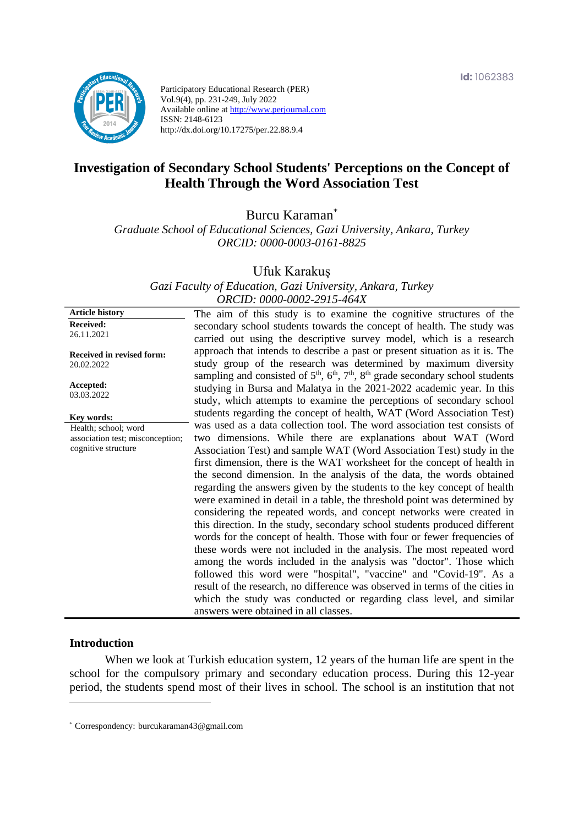

Participatory Educational Research (PER) Vol.9(4), pp. 231-249, July 2022 Available online at http://www.perjournal.com ISSN: 2148-6123 http://dx.doi.org/10.17275/per.22.88.9.4

# **Investigation of Secondary School Students' Perceptions on the Concept of Health Through the Word Association Test**

Burcu Karaman\*

*Graduate School of Educational Sciences, Gazi University, Ankara, Turkey ORCID: 0000-0003-0161-8825*

Ufuk Karakuş

*Gazi Faculty of Education, Gazi University, Ankara, Turkey ORCID: 0000-0002-2915-464X*

**Article history Received:**  26.11.2021 **Received in revised form:**  20.02.2022 **Accepted:** 03.03.2022 The aim of this study is to examine the cognitive structures of the secondary school students towards the concept of health. The study was carried out using the descriptive survey model, which is a research approach that intends to describe a past or present situation as it is. The study group of the research was determined by maximum diversity sampling and consisted of  $5<sup>th</sup>$ ,  $6<sup>th</sup>$ ,  $7<sup>th</sup>$ ,  $8<sup>th</sup>$  grade secondary school students studying in Bursa and Malatya in the 2021-2022 academic year. In this study, which attempts to examine the perceptions of secondary school students regarding the concept of health, WAT (Word Association Test) was used as a data collection tool. The word association test consists of two dimensions. While there are explanations about WAT (Word Association Test) and sample WAT (Word Association Test) study in the first dimension, there is the WAT worksheet for the concept of health in the second dimension. In the analysis of the data, the words obtained regarding the answers given by the students to the key concept of health were examined in detail in a table, the threshold point was determined by considering the repeated words, and concept networks were created in this direction. In the study, secondary school students produced different words for the concept of health. Those with four or fewer frequencies of these words were not included in the analysis. The most repeated word among the words included in the analysis was "doctor". Those which followed this word were "hospital", "vaccine" and "Covid-19". As a result of the research, no difference was observed in terms of the cities in which the study was conducted or regarding class level, and similar answers were obtained in all classes. **Key words:** Health; school; word association test; misconception; cognitive structure

#### **Introduction**

When we look at Turkish education system, 12 years of the human life are spent in the school for the compulsory primary and secondary education process. During this 12-year period, the students spend most of their lives in school. The school is an institution that not

<sup>\*</sup> [Correspondency:](mailto:Correspondency:) burcukaraman43@gmail.com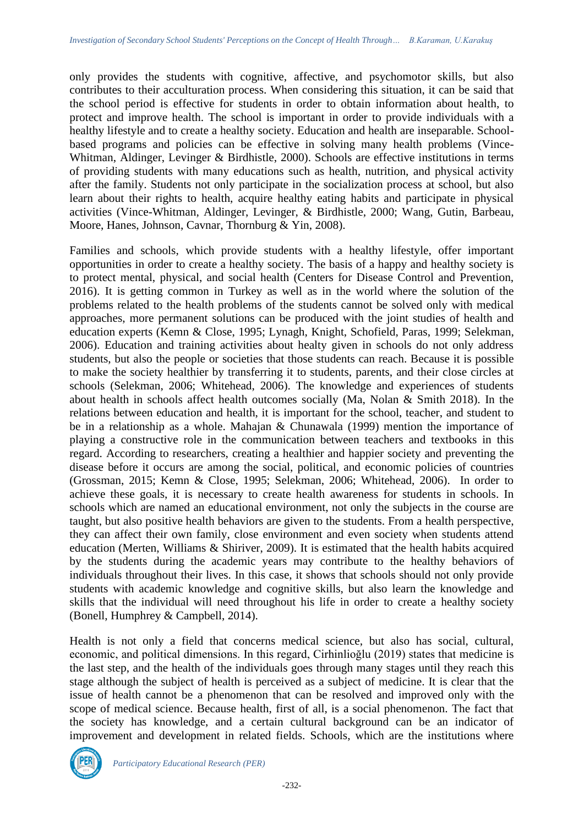only provides the students with cognitive, affective, and psychomotor skills, but also contributes to their acculturation process. When considering this situation, it can be said that the school period is effective for students in order to obtain information about health, to protect and improve health. The school is important in order to provide individuals with a healthy lifestyle and to create a healthy society. Education and health are inseparable. Schoolbased programs and policies can be effective in solving many health problems (Vince-Whitman, Aldinger, Levinger & Birdhistle, 2000). Schools are effective institutions in terms of providing students with many educations such as health, nutrition, and physical activity after the family. Students not only participate in the socialization process at school, but also learn about their rights to health, acquire healthy eating habits and participate in physical activities (Vince-Whitman, Aldinger, Levinger, & Birdhistle, 2000; Wang, Gutin, Barbeau, Moore, Hanes, Johnson, Cavnar, Thornburg & Yin, 2008).

Families and schools, which provide students with a healthy lifestyle, offer important opportunities in order to create a healthy society. The basis of a happy and healthy society is to protect mental, physical, and social health (Centers for Disease Control and Prevention, 2016). It is getting common in Turkey as well as in the world where the solution of the problems related to the health problems of the students cannot be solved only with medical approaches, more permanent solutions can be produced with the joint studies of health and education experts (Kemn & Close, 1995; Lynagh, Knight, Schofield, Paras, 1999; Selekman, 2006). Education and training activities about healty given in schools do not only address students, but also the people or societies that those students can reach. Because it is possible to make the society healthier by transferring it to students, parents, and their close circles at schools (Selekman, 2006; Whitehead, 2006). The knowledge and experiences of students about health in schools affect health outcomes socially (Ma, Nolan & Smith 2018). In the relations between education and health, it is important for the school, teacher, and student to be in a relationship as a whole. Mahajan & Chunawala (1999) mention the importance of playing a constructive role in the communication between teachers and textbooks in this regard. According to researchers, creating a healthier and happier society and preventing the disease before it occurs are among the social, political, and economic policies of countries (Grossman, 2015; Kemn & Close, 1995; Selekman, 2006; Whitehead, 2006). In order to achieve these goals, it is necessary to create health awareness for students in schools. In schools which are named an educational environment, not only the subjects in the course are taught, but also positive health behaviors are given to the students. From a health perspective, they can affect their own family, close environment and even society when students attend education (Merten, Williams & Shiriver, 2009). It is estimated that the health habits acquired by the students during the academic years may contribute to the healthy behaviors of individuals throughout their lives. In this case, it shows that schools should not only provide students with academic knowledge and cognitive skills, but also learn the knowledge and skills that the individual will need throughout his life in order to create a healthy society (Bonell, Humphrey & Campbell, 2014).

Health is not only a field that concerns medical science, but also has social, cultural, economic, and political dimensions. In this regard, Cirhinlioğlu (2019) states that medicine is the last step, and the health of the individuals goes through many stages until they reach this stage although the subject of health is perceived as a subject of medicine. It is clear that the issue of health cannot be a phenomenon that can be resolved and improved only with the scope of medical science. Because health, first of all, is a social phenomenon. The fact that the society has knowledge, and a certain cultural background can be an indicator of improvement and development in related fields. Schools, which are the institutions where

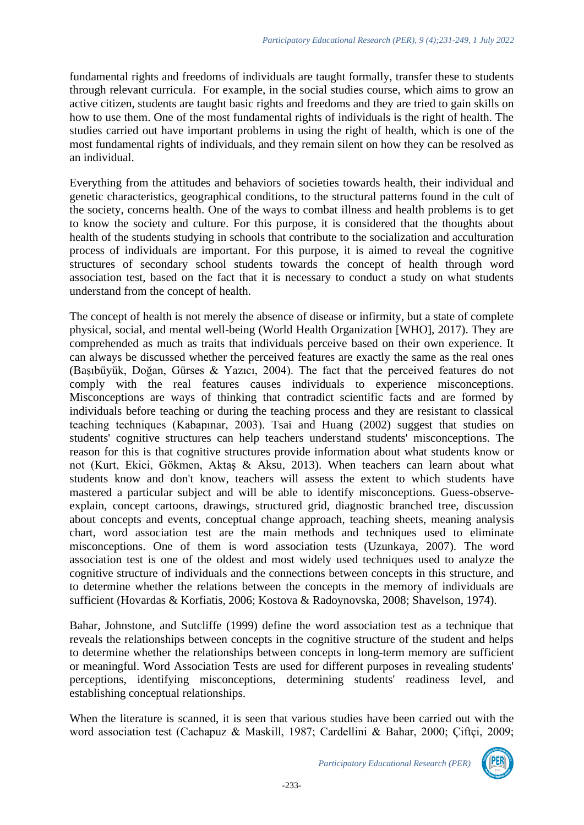fundamental rights and freedoms of individuals are taught formally, transfer these to students through relevant curricula. For example, in the social studies course, which aims to grow an active citizen, students are taught basic rights and freedoms and they are tried to gain skills on how to use them. One of the most fundamental rights of individuals is the right of health. The studies carried out have important problems in using the right of health, which is one of the most fundamental rights of individuals, and they remain silent on how they can be resolved as an individual.

Everything from the attitudes and behaviors of societies towards health, their individual and genetic characteristics, geographical conditions, to the structural patterns found in the cult of the society, concerns health. One of the ways to combat illness and health problems is to get to know the society and culture. For this purpose, it is considered that the thoughts about health of the students studying in schools that contribute to the socialization and acculturation process of individuals are important. For this purpose, it is aimed to reveal the cognitive structures of secondary school students towards the concept of health through word association test, based on the fact that it is necessary to conduct a study on what students understand from the concept of health.

The concept of health is not merely the absence of disease or infirmity, but a state of complete physical, social, and mental well-being (World Health Organization [WHO], 2017). They are comprehended as much as traits that individuals perceive based on their own experience. It can always be discussed whether the perceived features are exactly the same as the real ones (Başıbüyük, Doğan, Gürses & Yazıcı, 2004). The fact that the perceived features do not comply with the real features causes individuals to experience misconceptions. Misconceptions are ways of thinking that contradict scientific facts and are formed by individuals before teaching or during the teaching process and they are resistant to classical teaching techniques (Kabapınar, 2003). Tsai and Huang (2002) suggest that studies on students' cognitive structures can help teachers understand students' misconceptions. The reason for this is that cognitive structures provide information about what students know or not (Kurt, Ekici, Gökmen, Aktaş & Aksu, 2013). When teachers can learn about what students know and don't know, teachers will assess the extent to which students have mastered a particular subject and will be able to identify misconceptions. Guess-observeexplain, concept cartoons, drawings, structured grid, diagnostic branched tree, discussion about concepts and events, conceptual change approach, teaching sheets, meaning analysis chart, word association test are the main methods and techniques used to eliminate misconceptions. One of them is word association tests (Uzunkaya, 2007). The word association test is one of the oldest and most widely used techniques used to analyze the cognitive structure of individuals and the connections between concepts in this structure, and to determine whether the relations between the concepts in the memory of individuals are sufficient (Hovardas & Korfiatis, 2006; Kostova & Radoynovska, 2008; Shavelson, 1974).

Bahar, Johnstone, and Sutcliffe (1999) define the word association test as a technique that reveals the relationships between concepts in the cognitive structure of the student and helps to determine whether the relationships between concepts in long-term memory are sufficient or meaningful. Word Association Tests are used for different purposes in revealing students' perceptions, identifying misconceptions, determining students' readiness level, and establishing conceptual relationships.

When the literature is scanned, it is seen that various studies have been carried out with the word association test (Cachapuz & Maskill, 1987; Cardellini & Bahar, 2000; Çiftçi, 2009;

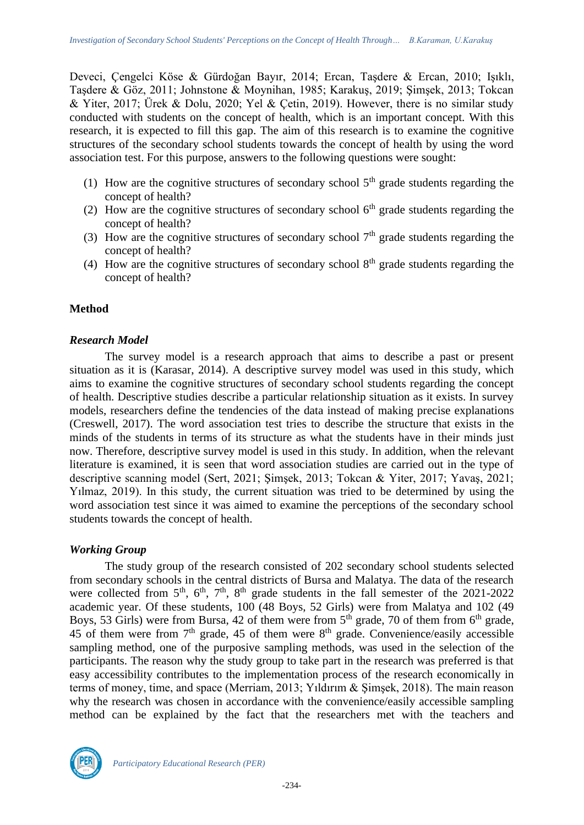Deveci, Çengelci Köse & Gürdoğan Bayır, 2014; Ercan, Taşdere & Ercan, 2010; Işıklı, Taşdere & Göz, 2011; Johnstone & Moynihan, 1985; Karakuş, 2019; Şimşek, 2013; Tokcan & Yiter, 2017; Ürek & Dolu, 2020; Yel & Çetin, 2019). However, there is no similar study conducted with students on the concept of health, which is an important concept. With this research, it is expected to fill this gap. The aim of this research is to examine the cognitive structures of the secondary school students towards the concept of health by using the word association test. For this purpose, answers to the following questions were sought:

- (1) How are the cognitive structures of secondary school  $5<sup>th</sup>$  grade students regarding the concept of health?
- (2) How are the cognitive structures of secondary school  $6<sup>th</sup>$  grade students regarding the concept of health?
- (3) How are the cognitive structures of secondary school  $7<sup>th</sup>$  grade students regarding the concept of health?
- (4) How are the cognitive structures of secondary school  $8<sup>th</sup>$  grade students regarding the concept of health?

### **Method**

### *Research Model*

The survey model is a research approach that aims to describe a past or present situation as it is (Karasar, 2014). A descriptive survey model was used in this study, which aims to examine the cognitive structures of secondary school students regarding the concept of health. Descriptive studies describe a particular relationship situation as it exists. In survey models, researchers define the tendencies of the data instead of making precise explanations (Creswell, 2017). The word association test tries to describe the structure that exists in the minds of the students in terms of its structure as what the students have in their minds just now. Therefore, descriptive survey model is used in this study. In addition, when the relevant literature is examined, it is seen that word association studies are carried out in the type of descriptive scanning model (Sert, 2021; Şimşek, 2013; Tokcan & Yiter, 2017; Yavaş, 2021; Yılmaz, 2019). In this study, the current situation was tried to be determined by using the word association test since it was aimed to examine the perceptions of the secondary school students towards the concept of health.

#### *Working Group*

The study group of the research consisted of 202 secondary school students selected from secondary schools in the central districts of Bursa and Malatya. The data of the research were collected from 5<sup>th</sup>, 6<sup>th</sup>, 7<sup>th</sup>, 8<sup>th</sup> grade students in the fall semester of the 2021-2022 academic year. Of these students, 100 (48 Boys, 52 Girls) were from Malatya and 102 (49 Boys, 53 Girls) were from Bursa, 42 of them were from  $5<sup>th</sup>$  grade, 70 of them from  $6<sup>th</sup>$  grade, 45 of them were from  $7<sup>th</sup>$  grade, 45 of them were  $8<sup>th</sup>$  grade. Convenience/easily accessible sampling method, one of the purposive sampling methods, was used in the selection of the participants. The reason why the study group to take part in the research was preferred is that easy accessibility contributes to the implementation process of the research economically in terms of money, time, and space (Merriam, 2013; Yıldırım & Şimşek, 2018). The main reason why the research was chosen in accordance with the convenience/easily accessible sampling method can be explained by the fact that the researchers met with the teachers and

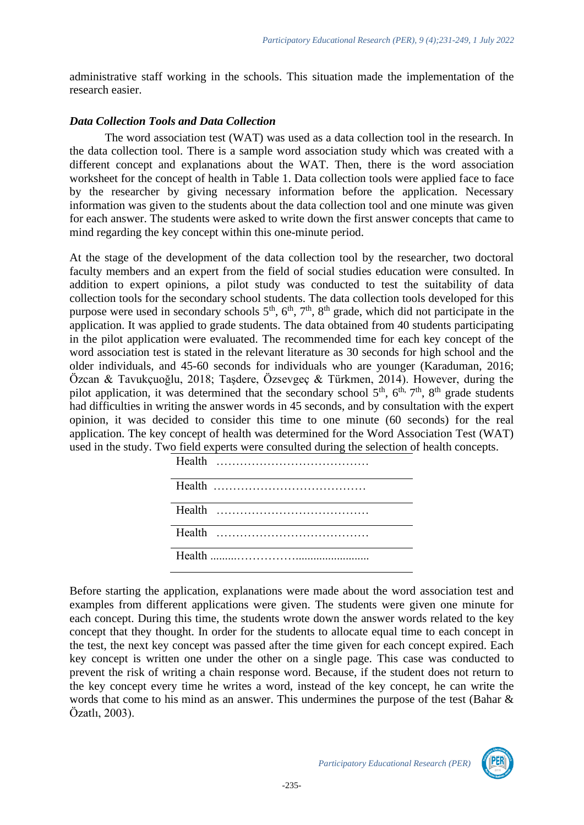administrative staff working in the schools. This situation made the implementation of the research easier.

## *Data Collection Tools and Data Collection*

The word association test (WAT) was used as a data collection tool in the research. In the data collection tool. There is a sample word association study which was created with a different concept and explanations about the WAT. Then, there is the word association worksheet for the concept of health in Table 1. Data collection tools were applied face to face by the researcher by giving necessary information before the application. Necessary information was given to the students about the data collection tool and one minute was given for each answer. The students were asked to write down the first answer concepts that came to mind regarding the key concept within this one-minute period.

At the stage of the development of the data collection tool by the researcher, two doctoral faculty members and an expert from the field of social studies education were consulted. In addition to expert opinions, a pilot study was conducted to test the suitability of data collection tools for the secondary school students. The data collection tools developed for this purpose were used in secondary schools  $5<sup>th</sup>$ ,  $6<sup>th</sup>$ ,  $7<sup>th</sup>$ ,  $8<sup>th</sup>$  grade, which did not participate in the application. It was applied to grade students. The data obtained from 40 students participating in the pilot application were evaluated. The recommended time for each key concept of the word association test is stated in the relevant literature as 30 seconds for high school and the older individuals, and 45-60 seconds for individuals who are younger (Karaduman, 2016; Özcan & Tavukçuoğlu, 2018; Taşdere, Özsevgeç & Türkmen, 2014). However, during the pilot application, it was determined that the secondary school  $5<sup>th</sup>$ ,  $6<sup>th</sup>$ ,  $7<sup>th</sup>$ ,  $8<sup>th</sup>$  grade students had difficulties in writing the answer words in 45 seconds, and by consultation with the expert opinion, it was decided to consider this time to one minute (60 seconds) for the real application. The key concept of health was determined for the Word Association Test (WAT) used in the study. Two field experts were consulted during the selection of health concepts.

Before starting the application, explanations were made about the word association test and examples from different applications were given. The students were given one minute for each concept. During this time, the students wrote down the answer words related to the key concept that they thought. In order for the students to allocate equal time to each concept in the test, the next key concept was passed after the time given for each concept expired. Each key concept is written one under the other on a single page. This case was conducted to prevent the risk of writing a chain response word. Because, if the student does not return to the key concept every time he writes a word, instead of the key concept, he can write the words that come to his mind as an answer. This undermines the purpose of the test (Bahar & Özatlı, 2003).

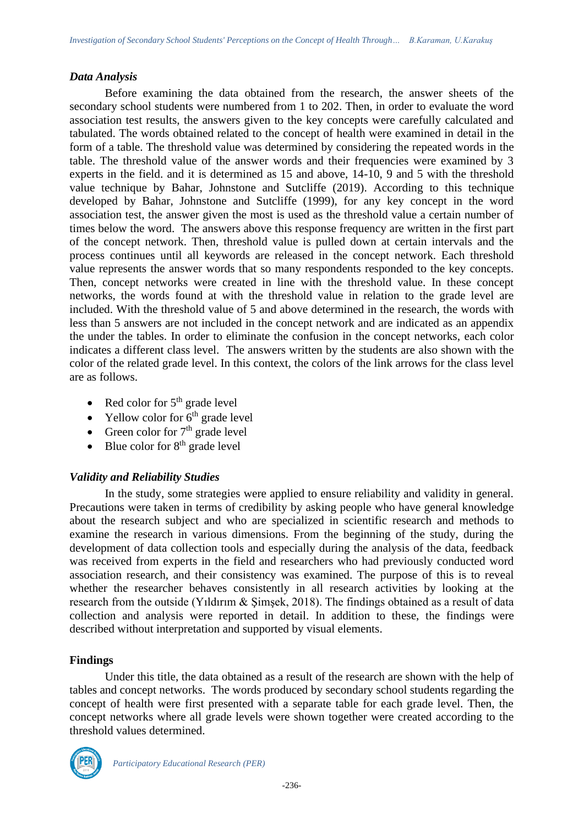### *Data Analysis*

Before examining the data obtained from the research, the answer sheets of the secondary school students were numbered from 1 to 202. Then, in order to evaluate the word association test results, the answers given to the key concepts were carefully calculated and tabulated. The words obtained related to the concept of health were examined in detail in the form of a table. The threshold value was determined by considering the repeated words in the table. The threshold value of the answer words and their frequencies were examined by 3 experts in the field. and it is determined as 15 and above, 14-10, 9 and 5 with the threshold value technique by Bahar, Johnstone and Sutcliffe (2019). According to this technique developed by Bahar, Johnstone and Sutcliffe (1999), for any key concept in the word association test, the answer given the most is used as the threshold value a certain number of times below the word. The answers above this response frequency are written in the first part of the concept network. Then, threshold value is pulled down at certain intervals and the process continues until all keywords are released in the concept network. Each threshold value represents the answer words that so many respondents responded to the key concepts. Then, concept networks were created in line with the threshold value. In these concept networks, the words found at with the threshold value in relation to the grade level are included. With the threshold value of 5 and above determined in the research, the words with less than 5 answers are not included in the concept network and are indicated as an appendix the under the tables. In order to eliminate the confusion in the concept networks, each color indicates a different class level. The answers written by the students are also shown with the color of the related grade level. In this context, the colors of the link arrows for the class level are as follows.

- Red color for  $5<sup>th</sup>$  grade level
- Yellow color for  $6<sup>th</sup>$  grade level
- Green color for  $7<sup>th</sup>$  grade level
- Blue color for  $8<sup>th</sup>$  grade level

## *Validity and Reliability Studies*

In the study, some strategies were applied to ensure reliability and validity in general. Precautions were taken in terms of credibility by asking people who have general knowledge about the research subject and who are specialized in scientific research and methods to examine the research in various dimensions. From the beginning of the study, during the development of data collection tools and especially during the analysis of the data, feedback was received from experts in the field and researchers who had previously conducted word association research, and their consistency was examined. The purpose of this is to reveal whether the researcher behaves consistently in all research activities by looking at the research from the outside (Yıldırım & Şimşek, 2018). The findings obtained as a result of data collection and analysis were reported in detail. In addition to these, the findings were described without interpretation and supported by visual elements.

#### **Findings**

Under this title, the data obtained as a result of the research are shown with the help of tables and concept networks. The words produced by secondary school students regarding the concept of health were first presented with a separate table for each grade level. Then, the concept networks where all grade levels were shown together were created according to the threshold values determined.

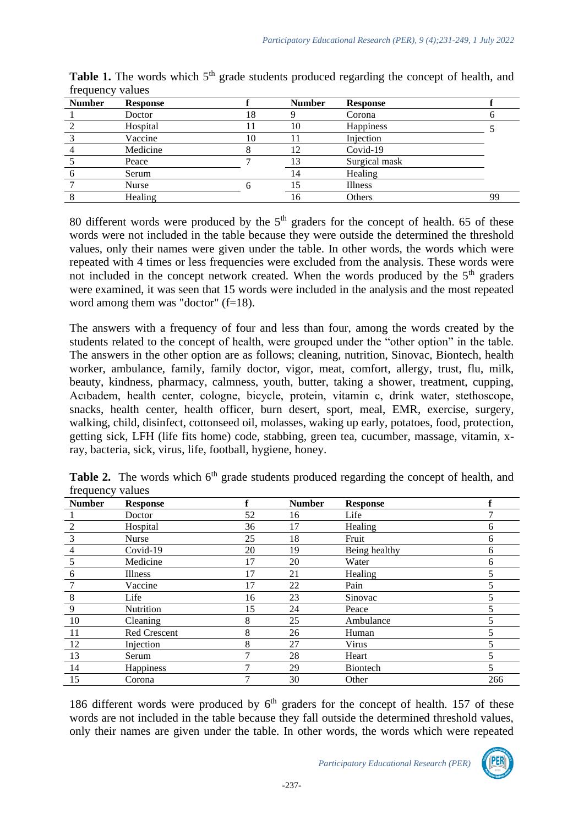| <b>Number</b> | <b>Response</b> |    | <b>Number</b> | <b>Response</b> |    |
|---------------|-----------------|----|---------------|-----------------|----|
|               | Doctor          | 18 |               | Corona          |    |
|               | Hospital        |    | 10            | Happiness       |    |
|               | Vaccine         | 10 |               | Injection       |    |
|               | Medicine        |    | 12            | Covid-19        |    |
|               | Peace           |    | 13            | Surgical mask   |    |
|               | Serum           |    | 14            | Healing         |    |
|               | Nurse           |    |               | Illness         |    |
|               | Healing         |    | 16            | Others          | 99 |

**Table 1.** The words which 5<sup>th</sup> grade students produced regarding the concept of health, and frequency values

80 different words were produced by the  $5<sup>th</sup>$  graders for the concept of health. 65 of these words were not included in the table because they were outside the determined the threshold values, only their names were given under the table. In other words, the words which were repeated with 4 times or less frequencies were excluded from the analysis. These words were not included in the concept network created. When the words produced by the  $5<sup>th</sup>$  graders were examined, it was seen that 15 words were included in the analysis and the most repeated word among them was "doctor"  $(f=18)$ .

The answers with a frequency of four and less than four, among the words created by the students related to the concept of health, were grouped under the "other option" in the table. The answers in the other option are as follows; cleaning, nutrition, Sinovac, Biontech, health worker, ambulance, family, family doctor, vigor, meat, comfort, allergy, trust, flu, milk, beauty, kindness, pharmacy, calmness, youth, butter, taking a shower, treatment, cupping, Acıbadem, health center, cologne, bicycle, protein, vitamin c, drink water, stethoscope, snacks, health center, health officer, burn desert, sport, meal, EMR, exercise, surgery, walking, child, disinfect, cottonseed oil, molasses, waking up early, potatoes, food, protection, getting sick, LFH (life fits home) code, stabbing, green tea, cucumber, massage, vitamin, xray, bacteria, sick, virus, life, football, hygiene, honey.

| <b>Number</b>  | <b>Response</b>     | ₽  | <b>Number</b> | <b>Response</b> |     |
|----------------|---------------------|----|---------------|-----------------|-----|
|                | Doctor              | 52 | 16            | Life            |     |
| $\overline{2}$ | Hospital            | 36 | 17            | Healing         | 6   |
| 3              | <b>Nurse</b>        | 25 | 18            | Fruit           | 6   |
| 4              | Covid-19            | 20 | 19            | Being healthy   | 6   |
| 5              | Medicine            | 17 | 20            | Water           | 6   |
| 6              | <b>Illness</b>      | 17 | 21            | Healing         |     |
|                | Vaccine             | 17 | 22            | Pain            |     |
| 8              | Life                | 16 | 23            | Sinovac         |     |
| 9              | Nutrition           | 15 | 24            | Peace           |     |
| 10             | Cleaning            | 8  | 25            | Ambulance       |     |
| 11             | <b>Red Crescent</b> | 8  | 26            | Human           |     |
| 12             | Injection           | 8  | 27            | Virus           |     |
| 13             | Serum               | 7  | 28            | Heart           |     |
| 14             | Happiness           |    | 29            | <b>Biontech</b> |     |
| 15             | Corona              | 7  | 30            | Other           | 266 |

**Table 2.** The words which 6<sup>th</sup> grade students produced regarding the concept of health, and frequency values

186 different words were produced by  $6<sup>th</sup>$  graders for the concept of health. 157 of these words are not included in the table because they fall outside the determined threshold values, only their names are given under the table. In other words, the words which were repeated

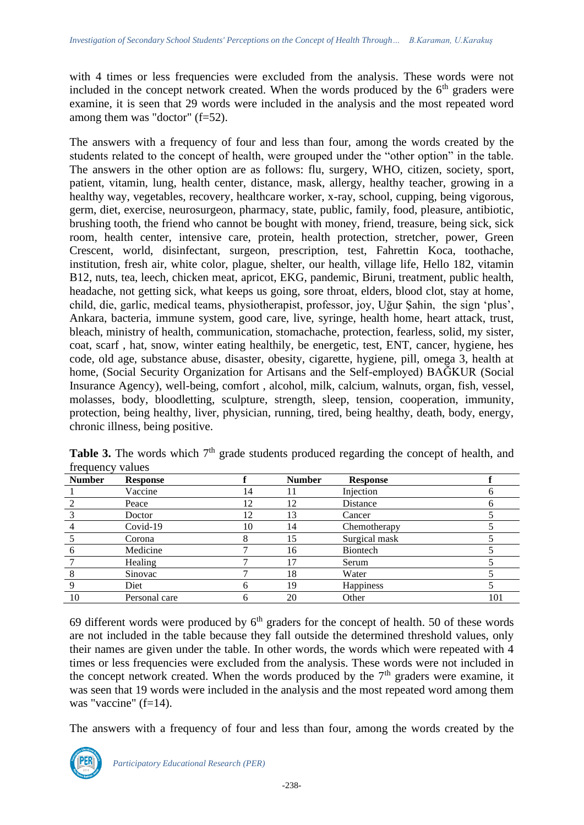with 4 times or less frequencies were excluded from the analysis. These words were not included in the concept network created. When the words produced by the  $6<sup>th</sup>$  graders were examine, it is seen that 29 words were included in the analysis and the most repeated word among them was "doctor" (f=52).

The answers with a frequency of four and less than four, among the words created by the students related to the concept of health, were grouped under the "other option" in the table. The answers in the other option are as follows: flu, surgery, WHO, citizen, society, sport, patient, vitamin, lung, health center, distance, mask, allergy, healthy teacher, growing in a healthy way, vegetables, recovery, healthcare worker, x-ray, school, cupping, being vigorous, germ, diet, exercise, neurosurgeon, pharmacy, state, public, family, food, pleasure, antibiotic, brushing tooth, the friend who cannot be bought with money, friend, treasure, being sick, sick room, health center, intensive care, protein, health protection, stretcher, power, Green Crescent, world, disinfectant, surgeon, prescription, test, Fahrettin Koca, toothache, institution, fresh air, white color, plague, shelter, our health, village life, Hello 182, vitamin B12, nuts, tea, leech, chicken meat, apricot, EKG, pandemic, Biruni, treatment, public health, headache, not getting sick, what keeps us going, sore throat, elders, blood clot, stay at home, child, die, garlic, medical teams, physiotherapist, professor, joy, Uğur Şahin, the sign 'plus', Ankara, bacteria, immune system, good care, live, syringe, health home, heart attack, trust, bleach, ministry of health, communication, stomachache, protection, fearless, solid, my sister, coat, scarf , hat, snow, winter eating healthily, be energetic, test, ENT, cancer, hygiene, hes code, old age, substance abuse, disaster, obesity, cigarette, hygiene, pill, omega 3, health at home, (Social Security Organization for Artisans and the Self-employed) BAĞKUR (Social Insurance Agency), well-being, comfort , alcohol, milk, calcium, walnuts, organ, fish, vessel, molasses, body, bloodletting, sculpture, strength, sleep, tension, cooperation, immunity, protection, being healthy, liver, physician, running, tired, being healthy, death, body, energy, chronic illness, being positive.

| <b>Number</b> | <b>Response</b> |              | <b>Number</b> | <b>Response</b> |     |
|---------------|-----------------|--------------|---------------|-----------------|-----|
|               | Vaccine         | 14           | 11            | Injection       |     |
|               | Peace           | 12           | 12            | Distance        |     |
|               | Doctor          | 12           | 13            | Cancer          |     |
|               | Covid-19        | 10           | 14            | Chemotherapy    |     |
|               | Corona          | 8            | 15            | Surgical mask   |     |
|               | Medicine        |              | 16            | Biontech        |     |
|               | Healing         |              | 17            | Serum           |     |
|               | Sinovac         |              | 18            | Water           |     |
|               | Diet            | h            | 19            | Happiness       |     |
| 10            | Personal care   | <sub>6</sub> | 20            | Other           | 101 |

Table 3. The words which 7<sup>th</sup> grade students produced regarding the concept of health, and frequency values

69 different words were produced by  $6<sup>th</sup>$  graders for the concept of health. 50 of these words are not included in the table because they fall outside the determined threshold values, only their names are given under the table. In other words, the words which were repeated with 4 times or less frequencies were excluded from the analysis. These words were not included in the concept network created. When the words produced by the  $7<sup>th</sup>$  graders were examine, it was seen that 19 words were included in the analysis and the most repeated word among them was "vaccine" (f=14).

The answers with a frequency of four and less than four, among the words created by the

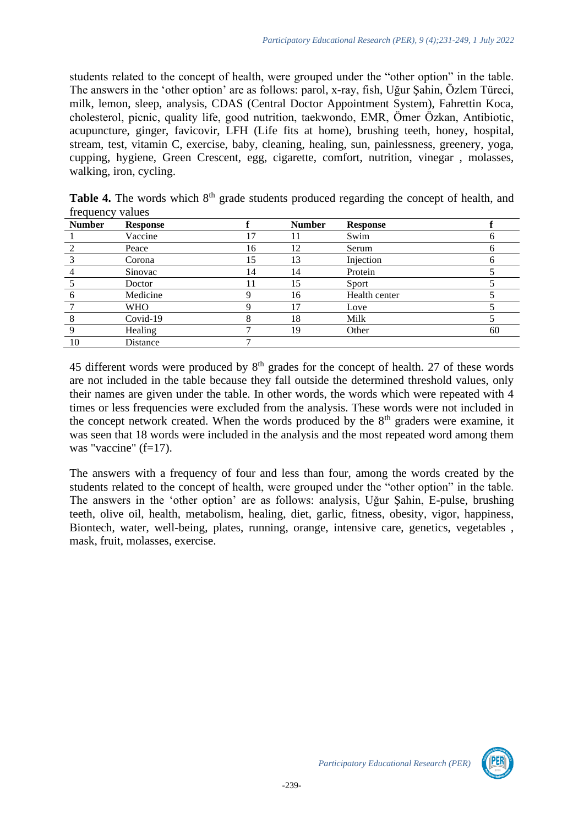students related to the concept of health, were grouped under the "other option" in the table. The answers in the 'other option' are as follows: parol, x-ray, fish, Uğur Şahin, Özlem Türeci, milk, lemon, sleep, analysis, CDAS (Central Doctor Appointment System), Fahrettin Koca, cholesterol, picnic, quality life, good nutrition, taekwondo, EMR, Ömer Özkan, Antibiotic, acupuncture, ginger, favicovir, LFH (Life fits at home), brushing teeth, honey, hospital, stream, test, vitamin C, exercise, baby, cleaning, healing, sun, painlessness, greenery, yoga, cupping, hygiene, Green Crescent, egg, cigarette, comfort, nutrition, vinegar , molasses, walking, iron, cycling.

| <b>Number</b> | <b>Response</b> |    | <b>Number</b> | <b>Response</b> |    |
|---------------|-----------------|----|---------------|-----------------|----|
|               | Vaccine         | 17 |               | Swim            |    |
|               | Peace           | 16 | 12            | Serum           | h  |
|               | Corona          | 15 | 13            | Injection       |    |
|               | Sinovac         | 14 | 14            | Protein         |    |
|               | Doctor          |    | 15            | Sport           |    |
|               | Medicine        |    | 16            | Health center   |    |
|               | <b>WHO</b>      |    | 17            | Love            |    |
|               | Covid-19        |    | 18            | Milk            |    |
|               | Healing         |    | 19            | Other           | 60 |
| 10            | Distance        |    |               |                 |    |

**Table 4.** The words which 8<sup>th</sup> grade students produced regarding the concept of health, and frequency values

45 different words were produced by  $8<sup>th</sup>$  grades for the concept of health. 27 of these words are not included in the table because they fall outside the determined threshold values, only their names are given under the table. In other words, the words which were repeated with 4 times or less frequencies were excluded from the analysis. These words were not included in the concept network created. When the words produced by the  $8<sup>th</sup>$  graders were examine, it was seen that 18 words were included in the analysis and the most repeated word among them was "vaccine" (f=17).

The answers with a frequency of four and less than four, among the words created by the students related to the concept of health, were grouped under the "other option" in the table. The answers in the 'other option' are as follows: analysis, Uğur Şahin, E-pulse, brushing teeth, olive oil, health, metabolism, healing, diet, garlic, fitness, obesity, vigor, happiness, Biontech, water, well-being, plates, running, orange, intensive care, genetics, vegetables , mask, fruit, molasses, exercise.

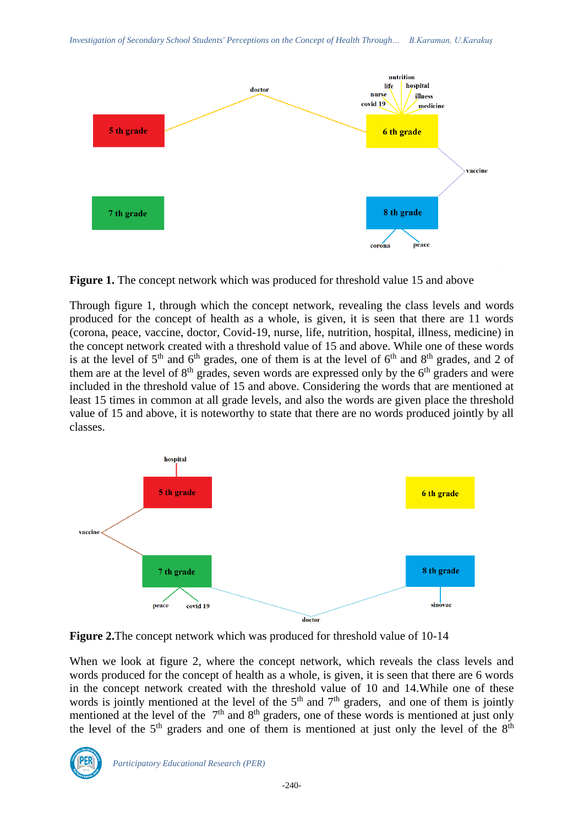

**Figure 1.** The concept network which was produced for threshold value 15 and above

Through figure 1, through which the concept network, revealing the class levels and words produced for the concept of health as a whole, is given, it is seen that there are 11 words (corona, peace, vaccine, doctor, Covid-19, nurse, life, nutrition, hospital, illness, medicine) in the concept network created with a threshold value of 15 and above. While one of these words is at the level of  $5<sup>th</sup>$  and  $6<sup>th</sup>$  grades, one of them is at the level of  $6<sup>th</sup>$  and  $8<sup>th</sup>$  grades, and 2 of them are at the level of  $8<sup>th</sup>$  grades, seven words are expressed only by the  $6<sup>th</sup>$  graders and were included in the threshold value of 15 and above. Considering the words that are mentioned at least 15 times in common at all grade levels, and also the words are given place the threshold value of 15 and above, it is noteworthy to state that there are no words produced jointly by all classes.



**Figure 2.**The concept network which was produced for threshold value of 10-14

When we look at figure 2, where the concept network, which reveals the class levels and words produced for the concept of health as a whole, is given, it is seen that there are 6 words in the concept network created with the threshold value of 10 and 14.While one of these words is jointly mentioned at the level of the  $5<sup>th</sup>$  and  $7<sup>th</sup>$  graders, and one of them is jointly mentioned at the level of the  $7<sup>th</sup>$  and  $8<sup>th</sup>$  graders, one of these words is mentioned at just only the level of the  $5<sup>th</sup>$  graders and one of them is mentioned at just only the level of the  $8<sup>th</sup>$ 

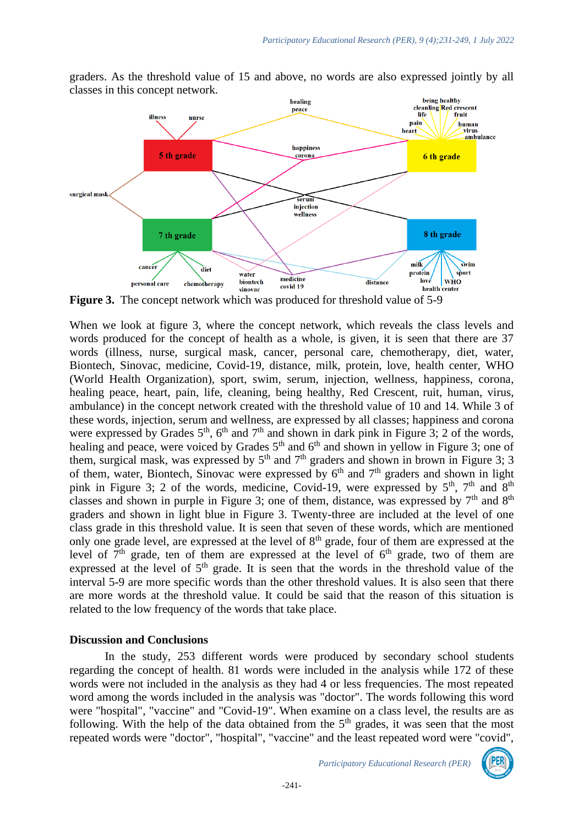

graders. As the threshold value of 15 and above, no words are also expressed jointly by all classes in this concept network.

**Figure 3.** The concept network which was produced for threshold value of 5-9

When we look at figure 3, where the concept network, which reveals the class levels and words produced for the concept of health as a whole, is given, it is seen that there are 37 words (illness, nurse, surgical mask, cancer, personal care, chemotherapy, diet, water, Biontech, Sinovac, medicine, Covid-19, distance, milk, protein, love, health center, WHO (World Health Organization), sport, swim, serum, injection, wellness, happiness, corona, healing peace, heart, pain, life, cleaning, being healthy, Red Crescent, ruit, human, virus, ambulance) in the concept network created with the threshold value of 10 and 14. While 3 of these words, injection, serum and wellness, are expressed by all classes; happiness and corona were expressed by Grades  $5<sup>th</sup>$ ,  $6<sup>th</sup>$  and  $7<sup>th</sup>$  and shown in dark pink in Figure 3; 2 of the words, healing and peace, were voiced by Grades  $5<sup>th</sup>$  and  $6<sup>th</sup>$  and shown in yellow in Figure 3; one of them, surgical mask, was expressed by  $5<sup>th</sup>$  and  $7<sup>th</sup>$  graders and shown in brown in Figure 3; 3 of them, water, Biontech, Sinovac were expressed by  $6<sup>th</sup>$  and  $7<sup>th</sup>$  graders and shown in light pink in Figure 3; 2 of the words, medicine, Covid-19, were expressed by  $5<sup>th</sup>$ ,  $7<sup>th</sup>$  and  $8<sup>th</sup>$ classes and shown in purple in Figure 3; one of them, distance, was expressed by  $7<sup>th</sup>$  and  $8<sup>th</sup>$ graders and shown in light blue in Figure 3. Twenty-three are included at the level of one class grade in this threshold value. It is seen that seven of these words, which are mentioned only one grade level, are expressed at the level of  $8<sup>th</sup>$  grade, four of them are expressed at the level of  $7<sup>th</sup>$  grade, ten of them are expressed at the level of  $6<sup>th</sup>$  grade, two of them are expressed at the level of  $5<sup>th</sup>$  grade. It is seen that the words in the threshold value of the interval 5-9 are more specific words than the other threshold values. It is also seen that there are more words at the threshold value. It could be said that the reason of this situation is related to the low frequency of the words that take place.

#### **Discussion and Conclusions**

In the study, 253 different words were produced by secondary school students regarding the concept of health. 81 words were included in the analysis while 172 of these words were not included in the analysis as they had 4 or less frequencies. The most repeated word among the words included in the analysis was "doctor". The words following this word were "hospital", "vaccine" and "Covid-19". When examine on a class level, the results are as following. With the help of the data obtained from the  $5<sup>th</sup>$  grades, it was seen that the most repeated words were "doctor", "hospital", "vaccine" and the least repeated word were "covid",

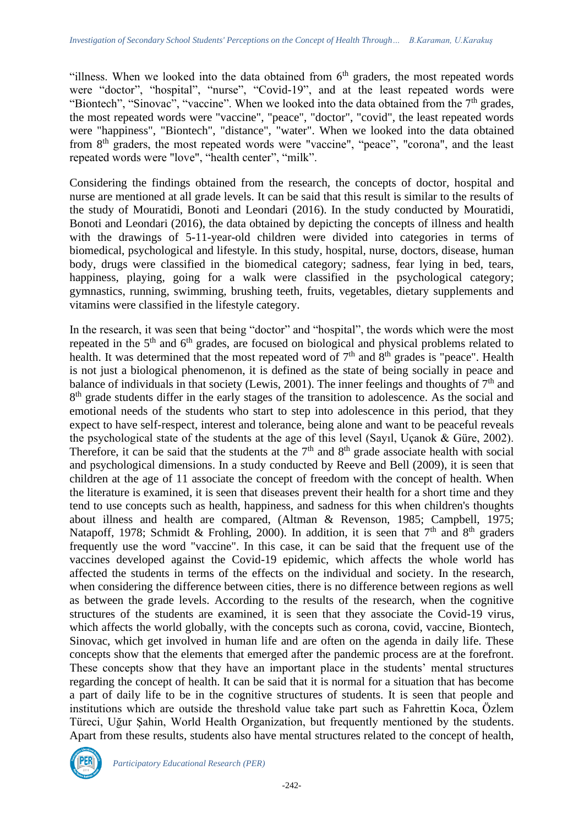"illness. When we looked into the data obtained from  $6<sup>th</sup>$  graders, the most repeated words were "doctor", "hospital", "nurse", "Covid-19", and at the least repeated words were "Biontech", "Sinovac", "vaccine". When we looked into the data obtained from the  $7<sup>th</sup>$  grades, the most repeated words were "vaccine", "peace", "doctor", "covid", the least repeated words were "happiness", "Biontech", "distance", "water". When we looked into the data obtained from 8<sup>th</sup> graders, the most repeated words were "vaccine", "peace", "corona", and the least repeated words were "love", "health center", "milk".

Considering the findings obtained from the research, the concepts of doctor, hospital and nurse are mentioned at all grade levels. It can be said that this result is similar to the results of the study of Mouratidi, Bonoti and Leondari (2016). In the study conducted by Mouratidi, Bonoti and Leondari (2016), the data obtained by depicting the concepts of illness and health with the drawings of 5-11-year-old children were divided into categories in terms of biomedical, psychological and lifestyle. In this study, hospital, nurse, doctors, disease, human body, drugs were classified in the biomedical category; sadness, fear lying in bed, tears, happiness, playing, going for a walk were classified in the psychological category; gymnastics, running, swimming, brushing teeth, fruits, vegetables, dietary supplements and vitamins were classified in the lifestyle category.

In the research, it was seen that being "doctor" and "hospital", the words which were the most repeated in the  $5<sup>th</sup>$  and  $6<sup>th</sup>$  grades, are focused on biological and physical problems related to health. It was determined that the most repeated word of  $7<sup>th</sup>$  and  $8<sup>th</sup>$  grades is "peace". Health is not just a biological phenomenon, it is defined as the state of being socially in peace and balance of individuals in that society (Lewis, 2001). The inner feelings and thoughts of  $7<sup>th</sup>$  and 8<sup>th</sup> grade students differ in the early stages of the transition to adolescence. As the social and emotional needs of the students who start to step into adolescence in this period, that they expect to have self-respect, interest and tolerance, being alone and want to be peaceful reveals the psychological state of the students at the age of this level (Sayıl, Uçanok & Güre, 2002). Therefore, it can be said that the students at the  $7<sup>th</sup>$  and  $8<sup>th</sup>$  grade associate health with social and psychological dimensions. In a study conducted by Reeve and Bell (2009), it is seen that children at the age of 11 associate the concept of freedom with the concept of health. When the literature is examined, it is seen that diseases prevent their health for a short time and they tend to use concepts such as health, happiness, and sadness for this when children's thoughts about illness and health are compared, (Altman & Revenson, 1985; Campbell, 1975; Natapoff, 1978; Schmidt & Frohling, 2000). In addition, it is seen that  $7<sup>th</sup>$  and  $8<sup>th</sup>$  graders frequently use the word "vaccine". In this case, it can be said that the frequent use of the vaccines developed against the Covid-19 epidemic, which affects the whole world has affected the students in terms of the effects on the individual and society. In the research, when considering the difference between cities, there is no difference between regions as well as between the grade levels. According to the results of the research, when the cognitive structures of the students are examined, it is seen that they associate the Covid-19 virus, which affects the world globally, with the concepts such as corona, covid, vaccine, Biontech, Sinovac, which get involved in human life and are often on the agenda in daily life. These concepts show that the elements that emerged after the pandemic process are at the forefront. These concepts show that they have an important place in the students' mental structures regarding the concept of health. It can be said that it is normal for a situation that has become a part of daily life to be in the cognitive structures of students. It is seen that people and institutions which are outside the threshold value take part such as Fahrettin Koca, Özlem Türeci, Uğur Şahin, World Health Organization, but frequently mentioned by the students. Apart from these results, students also have mental structures related to the concept of health,



*Participatory Educational Research (PER)*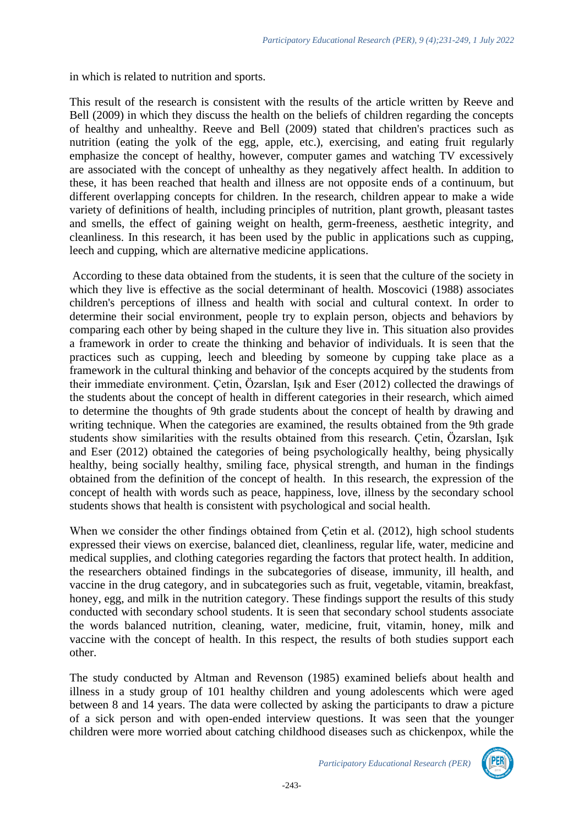in which is related to nutrition and sports.

This result of the research is consistent with the results of the article written by Reeve and Bell (2009) in which they discuss the health on the beliefs of children regarding the concepts of healthy and unhealthy. Reeve and Bell (2009) stated that children's practices such as nutrition (eating the yolk of the egg, apple, etc.), exercising, and eating fruit regularly emphasize the concept of healthy, however, computer games and watching TV excessively are associated with the concept of unhealthy as they negatively affect health. In addition to these, it has been reached that health and illness are not opposite ends of a continuum, but different overlapping concepts for children. In the research, children appear to make a wide variety of definitions of health, including principles of nutrition, plant growth, pleasant tastes and smells, the effect of gaining weight on health, germ-freeness, aesthetic integrity, and cleanliness. In this research, it has been used by the public in applications such as cupping, leech and cupping, which are alternative medicine applications.

According to these data obtained from the students, it is seen that the culture of the society in which they live is effective as the social determinant of health. Moscovici (1988) associates children's perceptions of illness and health with social and cultural context. In order to determine their social environment, people try to explain person, objects and behaviors by comparing each other by being shaped in the culture they live in. This situation also provides a framework in order to create the thinking and behavior of individuals. It is seen that the practices such as cupping, leech and bleeding by someone by cupping take place as a framework in the cultural thinking and behavior of the concepts acquired by the students from their immediate environment. Çetin, Özarslan, Işık and Eser (2012) collected the drawings of the students about the concept of health in different categories in their research, which aimed to determine the thoughts of 9th grade students about the concept of health by drawing and writing technique. When the categories are examined, the results obtained from the 9th grade students show similarities with the results obtained from this research. Çetin, Özarslan, Işık and Eser (2012) obtained the categories of being psychologically healthy, being physically healthy, being socially healthy, smiling face, physical strength, and human in the findings obtained from the definition of the concept of health. In this research, the expression of the concept of health with words such as peace, happiness, love, illness by the secondary school students shows that health is consistent with psychological and social health.

When we consider the other findings obtained from Cetin et al. (2012), high school students expressed their views on exercise, balanced diet, cleanliness, regular life, water, medicine and medical supplies, and clothing categories regarding the factors that protect health. In addition, the researchers obtained findings in the subcategories of disease, immunity, ill health, and vaccine in the drug category, and in subcategories such as fruit, vegetable, vitamin, breakfast, honey, egg, and milk in the nutrition category. These findings support the results of this study conducted with secondary school students. It is seen that secondary school students associate the words balanced nutrition, cleaning, water, medicine, fruit, vitamin, honey, milk and vaccine with the concept of health. In this respect, the results of both studies support each other.

The study conducted by Altman and Revenson (1985) examined beliefs about health and illness in a study group of 101 healthy children and young adolescents which were aged between 8 and 14 years. The data were collected by asking the participants to draw a picture of a sick person and with open-ended interview questions. It was seen that the younger children were more worried about catching childhood diseases such as chickenpox, while the

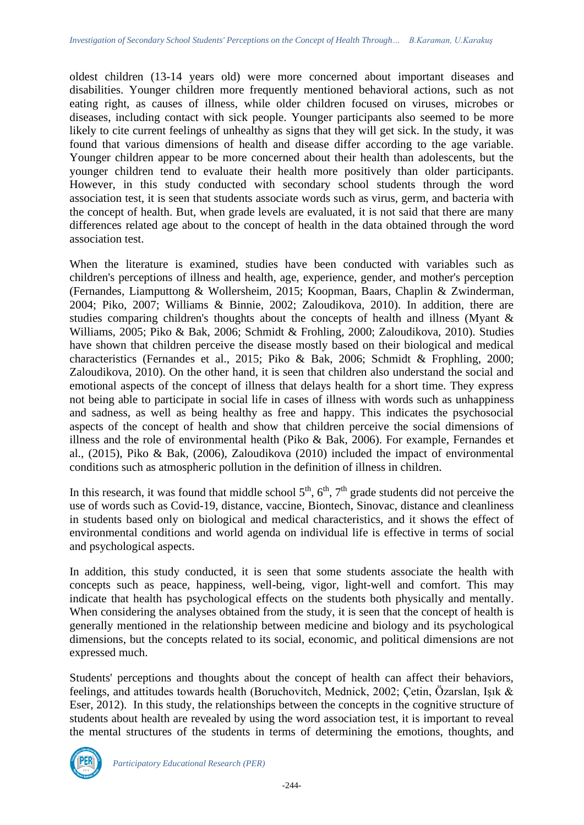oldest children (13-14 years old) were more concerned about important diseases and disabilities. Younger children more frequently mentioned behavioral actions, such as not eating right, as causes of illness, while older children focused on viruses, microbes or diseases, including contact with sick people. Younger participants also seemed to be more likely to cite current feelings of unhealthy as signs that they will get sick. In the study, it was found that various dimensions of health and disease differ according to the age variable. Younger children appear to be more concerned about their health than adolescents, but the younger children tend to evaluate their health more positively than older participants. However, in this study conducted with secondary school students through the word association test, it is seen that students associate words such as virus, germ, and bacteria with the concept of health. But, when grade levels are evaluated, it is not said that there are many differences related age about to the concept of health in the data obtained through the word association test.

When the literature is examined, studies have been conducted with variables such as children's perceptions of illness and health, age, experience, gender, and mother's perception (Fernandes, Liamputtong & Wollersheim, 2015; Koopman, Baars, Chaplin & Zwinderman, 2004; Piko, 2007; Williams & Binnie, 2002; Zaloudikova, 2010). In addition, there are studies comparing children's thoughts about the concepts of health and illness (Myant & Williams, 2005; Piko & Bak, 2006; Schmidt & Frohling, 2000; Zaloudikova, 2010). Studies have shown that children perceive the disease mostly based on their biological and medical characteristics (Fernandes et al., 2015; Piko & Bak, 2006; Schmidt & Frophling, 2000; Zaloudikova, 2010). On the other hand, it is seen that children also understand the social and emotional aspects of the concept of illness that delays health for a short time. They express not being able to participate in social life in cases of illness with words such as unhappiness and sadness, as well as being healthy as free and happy. This indicates the psychosocial aspects of the concept of health and show that children perceive the social dimensions of illness and the role of environmental health (Piko & Bak, 2006). For example, Fernandes et al., (2015), Piko & Bak, (2006), Zaloudikova (2010) included the impact of environmental conditions such as atmospheric pollution in the definition of illness in children.

In this research, it was found that middle school  $5<sup>th</sup>$ ,  $6<sup>th</sup>$ ,  $7<sup>th</sup>$  grade students did not perceive the use of words such as Covid-19, distance, vaccine, Biontech, Sinovac, distance and cleanliness in students based only on biological and medical characteristics, and it shows the effect of environmental conditions and world agenda on individual life is effective in terms of social and psychological aspects.

In addition, this study conducted, it is seen that some students associate the health with concepts such as peace, happiness, well-being, vigor, light-well and comfort. This may indicate that health has psychological effects on the students both physically and mentally. When considering the analyses obtained from the study, it is seen that the concept of health is generally mentioned in the relationship between medicine and biology and its psychological dimensions, but the concepts related to its social, economic, and political dimensions are not expressed much.

Students' perceptions and thoughts about the concept of health can affect their behaviors, feelings, and attitudes towards health (Boruchovitch, Mednick, 2002; Çetin, Özarslan, Işık & Eser, 2012). In this study, the relationships between the concepts in the cognitive structure of students about health are revealed by using the word association test, it is important to reveal the mental structures of the students in terms of determining the emotions, thoughts, and

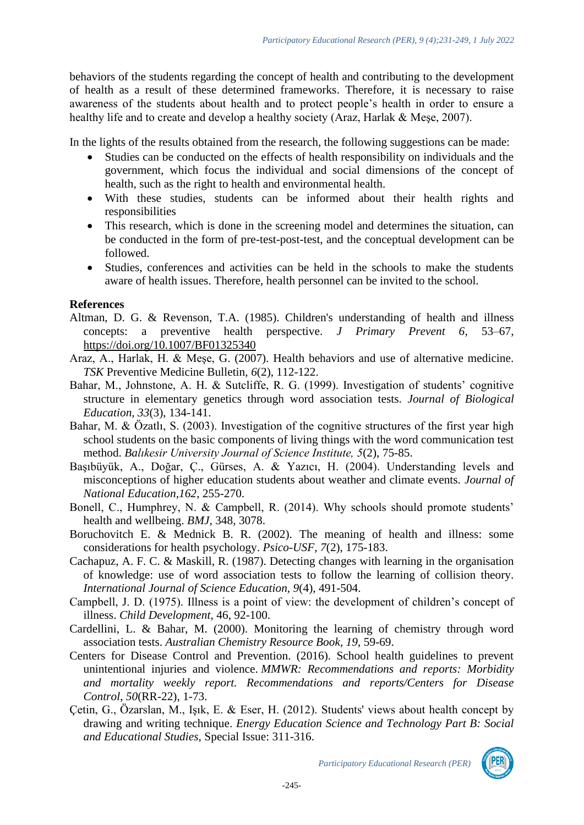behaviors of the students regarding the concept of health and contributing to the development of health as a result of these determined frameworks. Therefore, it is necessary to raise awareness of the students about health and to protect people's health in order to ensure a healthy life and to create and develop a healthy society (Araz, Harlak & Meşe, 2007).

In the lights of the results obtained from the research, the following suggestions can be made:

- Studies can be conducted on the effects of health responsibility on individuals and the government, which focus the individual and social dimensions of the concept of health, such as the right to health and environmental health.
- With these studies, students can be informed about their health rights and responsibilities
- This research, which is done in the screening model and determines the situation, can be conducted in the form of pre-test-post-test, and the conceptual development can be followed.
- Studies, conferences and activities can be held in the schools to make the students aware of health issues. Therefore, health personnel can be invited to the school.

## **References**

- Altman, D. G. & Revenson, T.A. (1985). Children's understanding of health and illness concepts: a preventive health perspective. *J Primary Prevent 6*, 53–67, <https://doi.org/10.1007/BF01325340>
- Araz, A., Harlak, H. & Meşe, G. (2007). Health behaviors and use of alternative medicine. *TSK* Preventive Medicine Bulletin, *6*(2), 112-122.
- Bahar, M., Johnstone, A. H. & Sutcliffe, R. G. (1999). Investigation of students' cognitive structure in elementary genetics through word association tests. *Journal of Biological Education, 33*(3), 134-141.
- Bahar, M. & Özatlı, S. (2003). Investigation of the cognitive structures of the first year high school students on the basic components of living things with the word communication test method. *Balıkesir University Journal of Science Institute, 5*(2), 75-85.
- Başıbüyük, A., Doğar, Ç., Gürses, A. & Yazıcı, H. (2004). Understanding levels and misconceptions of higher education students about weather and climate events. *Journal of National Education,162*, 255-270.
- Bonell, C., Humphrey, N. & Campbell, R. (2014). Why schools should promote students' health and wellbeing. *BMJ,* 348, 3078.
- Boruchovitch E. & Mednick B. R. (2002). The meaning of health and illness: some considerations for health psychology. *Psico-USF*, *7*(2), 175-183.
- Cachapuz, A. F. C. & Maskill, R. (1987). Detecting changes with learning in the organisation of knowledge: use of word association tests to follow the learning of collision theory. *International Journal of Science Education, 9*(4), 491-504.
- Campbell, J. D. (1975). Illness is a point of view: the development of children's concept of illness. *Child Development*, 46, 92-100.
- Cardellini, L. & Bahar, M. (2000). Monitoring the learning of chemistry through word association tests. *Australian Chemistry Resource Book, 19*, 59-69.
- Centers for Disease Control and Prevention. (2016). School health guidelines to prevent unintentional injuries and violence. *MMWR: Recommendations and reports: Morbidity and mortality weekly report. Recommendations and reports/Centers for Disease Control*, *50*(RR-22), 1-73.
- Çetin, G., Özarslan, M., Işık, E. & Eser, H. (2012). Students' views about health concept by drawing and writing technique. *Energy Education Science and Technology Part B: Social and Educational Studies,* Special Issue: 311-316.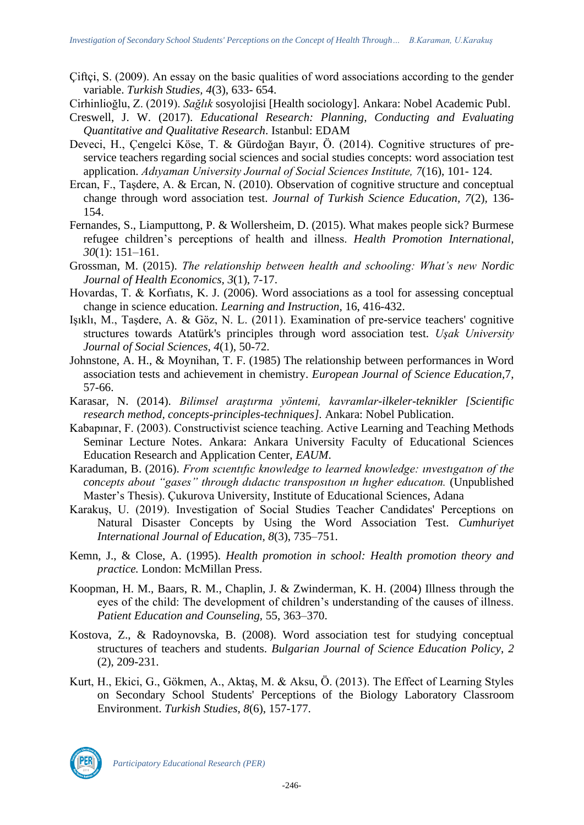- Çiftçi, S. (2009). An essay on the basic qualities of word associations according to the gender variable. *Turkish Studies, 4*(3), 633- 654.
- Cirhinlioğlu, Z. (2019). *Sağlık* sosyolojisi [Health sociology]. Ankara: Nobel Academic Publ.
- Creswell, J. W. (2017). *Educational Research: Planning, Conducting and Evaluating Quantitative and Qualitative Research*. Istanbul: EDAM
- Deveci, H., Çengelci Köse, T. & Gürdoğan Bayır, Ö. (2014). Cognitive structures of preservice teachers regarding social sciences and social studies concepts: word association test application. *Adıyaman University Journal of Social Sciences Institute, 7*(16), 101- 124.
- Ercan, F., Taşdere, A. & Ercan, N. (2010). Observation of cognitive structure and conceptual change through word association test. *Journal of Turkish Science Education, 7*(2)*,* 136- 154.
- Fernandes, S., Liamputtong, P. & Wollersheim, D. (2015). What makes people sick? Burmese refugee children's perceptions of health and illness. *Health Promotion International, 30*(1): 151–161.
- Grossman, M. (2015). *The relationship between health and schooling: What's new Nordic Journal of Health Economics, 3*(1), 7-17.
- Hovardas, T. & Korfıatıs, K. J. (2006). Word associations as a tool for assessing conceptual change in science education. *Learning and Instruction,* 16, 416-432.
- Işıklı, M., Taşdere, A. & Göz, N. L. (2011). Examination of pre-service teachers' cognitive structures towards Atatürk's principles through word association test. *Uşak University Journal of Social Sciences, 4*(1), 50-72.
- Johnstone, A. H., & Moynihan, T. F. (1985) The relationship between performances in Word association tests and achievement in chemistry. *European Journal of Science Education,*7, 57-66.
- Karasar, N. (2014). *Bilimsel araştırma yöntemi, kavramlar-ilkeler-teknikler [Scientific research method, concepts-principles-techniques].* Ankara: Nobel Publication.
- Kabapınar, F. (2003). Constructivist science teaching. Active Learning and Teaching Methods Seminar Lecture Notes. Ankara: Ankara University Faculty of Educational Sciences Education Research and Application Center, *EAUM*.
- Karaduman, B. (2016). *From scıentıfıc knowledge to learned knowledge: ınvestıgatıon of the concepts about "gases" through dıdactıc transposıtıon ın hıgher educatıon.* (Unpublished Master's Thesis). Çukurova University, Institute of Educational Sciences, Adana
- Karakuş, U. (2019). Investigation of Social Studies Teacher Candidates' Perceptions on Natural Disaster Concepts by Using the Word Association Test. *Cumhuriyet International Journal of Education, 8*(3), 735–751.
- Kemn, J., & Close, A. (1995). *Health promotion in school: Health promotion theory and practice.* London: McMillan Press.
- Koopman, H. M., Baars, R. M., Chaplin, J. & Zwinderman, K. H. (2004) Illness through the eyes of the child: The development of children's understanding of the causes of illness. *Patient Education and Counseling,* 55, 363–370.
- Kostova, Z., & Radoynovska, B. (2008). Word association test for studying conceptual structures of teachers and students. *Bulgarian Journal of Science Education Policy*, *2*  (2), 209-231.
- Kurt, H., Ekici, G., Gökmen, A., Aktaş, M. & Aksu, Ö. (2013). The Effect of Learning Styles on Secondary School Students' Perceptions of the Biology Laboratory Classroom Environment. *Turkish Studies*, *8*(6), 157-177.

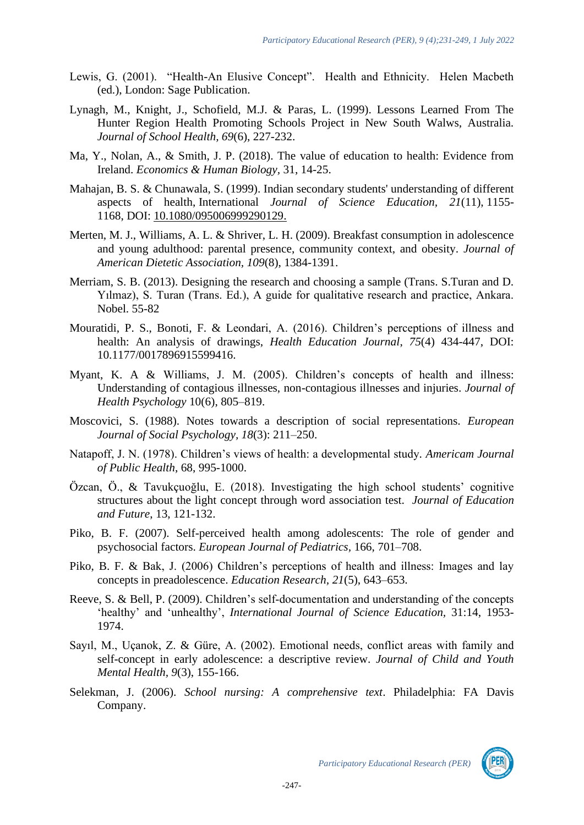- Lewis, G. (2001). "Health-An Elusive Concept". Health and Ethnicity. Helen Macbeth (ed.), London: Sage Publication.
- Lynagh, M., Knight, J., Schofield, M.J. & Paras, L. (1999). Lessons Learned From The Hunter Region Health Promoting Schools Project in New South Walws, Australia. *Journal of School Health, 69*(6), 227-232.
- Ma, Y., Nolan, A., & Smith, J. P. (2018). The value of education to health: Evidence from Ireland. *Economics & Human Biology,* 31, 14-25.
- Mahajan, B. S. & Chunawala, S. (1999). Indian secondary students' understanding of different aspects of health, International *Journal of Science Education, 21*(11), 1155- 1168, DOI: [10.1080/095006999290129.](https://doi.org/10.1080/095006999290129)
- Merten, M. J., Williams, A. L. & Shriver, L. H. (2009). Breakfast consumption in adolescence and young adulthood: parental presence, community context, and obesity. *Journal of American Dietetic Association, 109*(8), 1384-1391.
- Merriam, S. B. (2013). Designing the research and choosing a sample (Trans. S.Turan and D. Yılmaz), S. Turan (Trans. Ed.), A guide for qualitative research and practice, Ankara. Nobel. 55-82
- Mouratidi, P. S., Bonoti, F. & Leondari, A. (2016). Children's perceptions of illness and health: An analysis of drawings, *Health Education Journal*, *75*(4) 434-447, DOI: 10.1177/0017896915599416.
- Myant, K. A & Williams, J. M. (2005). Children's concepts of health and illness: Understanding of contagious illnesses, non-contagious illnesses and injuries. *Journal of Health Psychology* 10(6), 805–819.
- Moscovici, S. (1988). Notes towards a description of social representations. *European Journal of Social Psychology, 18*(3): 211–250.
- Natapoff, J. N. (1978). Children's views of health: a developmental study*. Americam Journal of Public Health*, 68, 995-1000.
- Özcan, Ö., & Tavukçuoğlu, E. (2018). Investigating the high school students' cognitive structures about the light concept through word association test. *Journal of Education and Future*, 13, 121-132.
- Piko, B. F. (2007). Self-perceived health among adolescents: The role of gender and psychosocial factors. *European Journal of Pediatrics,* 166, 701–708.
- Piko, B. F. & Bak, J. (2006) Children's perceptions of health and illness: Images and lay concepts in preadolescence. *Education Research, 21*(5), 643–653.
- Reeve, S. & Bell, P. (2009). Children's self-documentation and understanding of the concepts 'healthy' and 'unhealthy', *International Journal of Science Education,* 31:14, 1953- 1974.
- Sayıl, M., Uçanok, Z. & Güre, A. (2002). Emotional needs, conflict areas with family and self-concept in early adolescence: a descriptive review. *Journal of Child and Youth Mental Health, 9*(3), 155-166.
- Selekman, J. (2006). *School nursing: A comprehensive text*. Philadelphia: FA Davis Company.

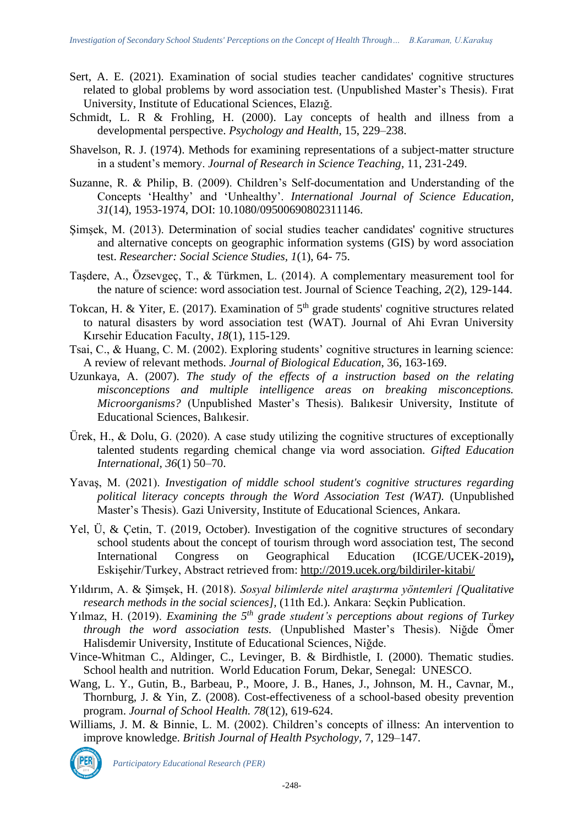- Sert, A. E. (2021). Examination of social studies teacher candidates' cognitive structures related to global problems by word association test. (Unpublished Master's Thesis). Fırat University, Institute of Educational Sciences, Elazığ.
- Schmidt, L. R & Frohling, H. (2000). Lay concepts of health and illness from a developmental perspective. *Psychology and Health,* 15, 229–238.
- Shavelson, R. J. (1974). Methods for examining representations of a subject-matter structure in a student's memory. *Journal of Research in Science Teaching*, 11, 231-249.
- Suzanne, R. & Philip, B. (2009). Children's Self‐documentation and Understanding of the Concepts 'Healthy' and 'Unhealthy'. *International Journal of Science Education, 31*(14), 1953-1974, DOI: 10.1080/09500690802311146.
- Şimşek, M. (2013). Determination of social studies teacher candidates' cognitive structures and alternative concepts on geographic information systems (GIS) by word association test. *Researcher: Social Science Studies, 1*(1), 64- 75.
- Taşdere, A., Özsevgeç, T., & Türkmen, L. (2014). A complementary measurement tool for the nature of science: word association test. Journal of Science Teaching*, 2*(2), 129-144.
- Tokcan, H. & Yiter, E. (2017). Examination of  $5<sup>th</sup>$  grade students' cognitive structures related to natural disasters by word association test (WAT). Journal of Ahi Evran University Kırsehir Education Faculty, *18*(1), 115-129.
- Tsai, C., & Huang, C. M. (2002). Exploring students' cognitive structures in learning science: A review of relevant methods. *Journal of Biological Education*, 36, 163-169.
- Uzunkaya, A. (2007). *The study of the effects of a instruction based on the relating misconceptions and multiple intelligence areas on breaking misconceptions. Microorganisms?* (Unpublished Master's Thesis). Balıkesir University, Institute of Educational Sciences, Balıkesir.
- Ürek, H., & Dolu, G. (2020). A case study utilizing the cognitive structures of exceptionally talented students regarding chemical change via word association. *Gifted Education International, 36*(1) 50–70.
- Yavaş, M. (2021). *Investigation of middle school student's cognitive structures regarding political literacy concepts through the Word Association Test (WAT).* (Unpublished Master's Thesis). Gazi University, Institute of Educational Sciences, Ankara.
- Yel, Ü, & Çetin, T. (2019, October). Investigation of the cognitive structures of secondary school students about the concept of tourism through word association test, The second International Congress on Geographical Education (ICGE/UCEK-2019)**,** Eskişehir/Turkey, Abstract retrieved from:<http://2019.ucek.org/bildiriler-kitabi/>
- Yıldırım, A. & Şimşek, H. (2018). *Sosyal bilimlerde nitel araştırma yöntemleri [Qualitative research methods in the social sciences],* (11th Ed.)*.* Ankara: Seçkin Publication.
- Yılmaz, H. (2019). *Examining the 5th grade student's perceptions about regions of Turkey through the word association tests.* (Unpublished Master's Thesis). Niğde Ömer Halisdemir University, Institute of Educational Sciences, Niğde.
- Vince-Whitman C., Aldinger, C., Levinger, B. & Birdhistle, I. (2000). Thematic studies. School health and nutrition. World Education Forum, Dekar, Senegal: UNESCO.
- Wang, L. Y., Gutin, B., Barbeau, P., Moore, J. B., Hanes, J., Johnson, M. H., Cavnar, M., Thornburg, J. & Yin, Z. (2008). Cost-effectiveness of a school-based obesity prevention program. *Journal of School Health. 78*(12), 619-624.
- Williams, J. M. & Binnie, L. M. (2002). Children's concepts of illness: An intervention to improve knowledge. *British Journal of Health Psychology,* 7, 129–147.



*Participatory Educational Research (PER)*